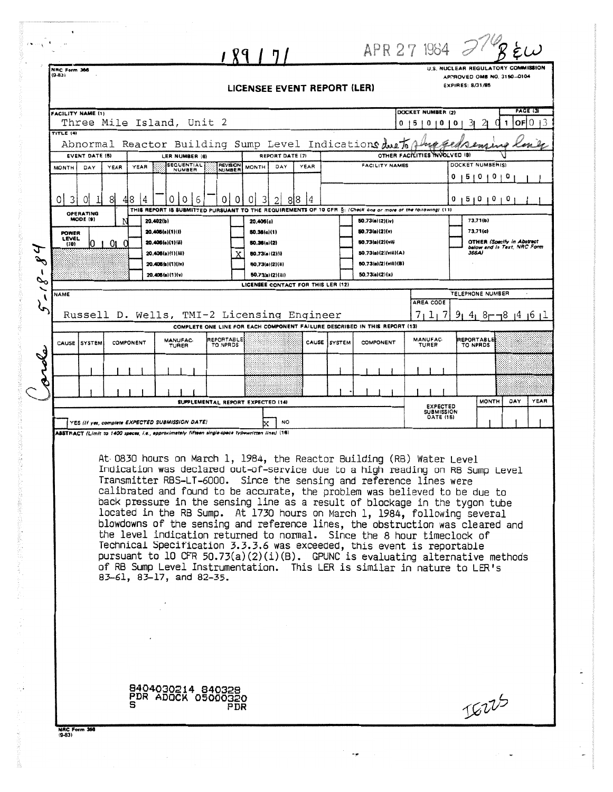|                                                                                                                                                                                                                                                                                                                                                                                                                                                                                                                                                                                                                                                                                                                                                                                                                                                                                                        | $\chi$ קן $\eta$                                                                                                                         |                                                                  | APR 27 1984 2                                                                               |  |  |  |
|--------------------------------------------------------------------------------------------------------------------------------------------------------------------------------------------------------------------------------------------------------------------------------------------------------------------------------------------------------------------------------------------------------------------------------------------------------------------------------------------------------------------------------------------------------------------------------------------------------------------------------------------------------------------------------------------------------------------------------------------------------------------------------------------------------------------------------------------------------------------------------------------------------|------------------------------------------------------------------------------------------------------------------------------------------|------------------------------------------------------------------|---------------------------------------------------------------------------------------------|--|--|--|
| NRC Form 366<br>$(9 - 83)$                                                                                                                                                                                                                                                                                                                                                                                                                                                                                                                                                                                                                                                                                                                                                                                                                                                                             | LICENSEE EVENT REPORT (LER)                                                                                                              |                                                                  | U.S. NUCLEAR REGULATORY COMMISSION<br>APPROVED OMB NO. 3150-0104<br><b>EXPIRES: 8/31/85</b> |  |  |  |
| <b>FACILITY NAME (1)</b><br>Three Mile Island, Unit 2<br>TITLE (4)                                                                                                                                                                                                                                                                                                                                                                                                                                                                                                                                                                                                                                                                                                                                                                                                                                     |                                                                                                                                          | Ð                                                                | PAGE (3)<br>DOCKET NUMBER (2)<br>OF<br>$\Omega$<br>0<br>o<br>o<br><b>b</b> i                |  |  |  |
| Abnormal Reactor Building Sump Level Indications due To<br><b>EVENT DATE (5)</b><br>LER NUMBER (6)<br><b>SEQUENTIAL</b><br>YEAR<br><b>MONTH</b><br>DAY<br><b>YEAR</b>                                                                                                                                                                                                                                                                                                                                                                                                                                                                                                                                                                                                                                                                                                                                  | REPORT DATE (7)<br><b>REVISION</b><br>DAY<br>YEAR<br><b>MONTH</b>                                                                        | <b>FACILITY NAMES</b>                                            | OTHER FACILITIES INVOLVED 18)<br>DOCKET NUMBERIS)                                           |  |  |  |
| NUMBER<br>01<br>3<br>81<br>8<br>0l<br>41<br>4<br>0<br>0<br>6                                                                                                                                                                                                                                                                                                                                                                                                                                                                                                                                                                                                                                                                                                                                                                                                                                           | <b>NUMBER</b><br>3<br>0<br>8 8<br>0<br>2<br>4                                                                                            |                                                                  | 1510100<br>0<br>15101010                                                                    |  |  |  |
| OPERATING<br>MODE (9)<br>20.402(b)<br>20.405(a)(1)(l)<br><b>POWER</b>                                                                                                                                                                                                                                                                                                                                                                                                                                                                                                                                                                                                                                                                                                                                                                                                                                  | THIS REPORT IS SUBMITTED PURSUANT TO THE REQUIREMENTS OF 10 CFR S: (Check one or more of the following) (11)<br>20.406(c)<br>50.36(c)(1) | 50.73(a)(2)(iv)<br>50.73(a)(2)(v)                                | 73.71(b)<br>73.71(c)                                                                        |  |  |  |
| LEVEL<br>01<br>20.405(e)(1)(ii)<br>$\cup$<br>(10)<br>20.406(a)(1)(iii)<br>20.406(a)(1)(iv)                                                                                                                                                                                                                                                                                                                                                                                                                                                                                                                                                                                                                                                                                                                                                                                                             | 50.36(c)(2)<br>50.73(a)(2)(i)<br>80.73(a)(2)(ii)                                                                                         | 60.73(a)(2)(vii)<br>50.73(a)(2)(viii)(A)<br>50.73(a)(2)(vili)(B) | <b>OTHER (Specify in Abstract</b><br>below and in Text, NRC Form<br>366A)                   |  |  |  |
| 20.405(a)(1)(v)<br>$\mathcal{S}$<br><b>NAME</b>                                                                                                                                                                                                                                                                                                                                                                                                                                                                                                                                                                                                                                                                                                                                                                                                                                                        | 50.73(a)(2)(iii)<br>LICENSEE CONTACT FOR THIS LER (12)                                                                                   | 50.73(a)(2)(x)                                                   | TELEPHONE NUMBER<br>AREA CODE                                                               |  |  |  |
| Russell D. Wells, TMI-2 Licensing Engineer                                                                                                                                                                                                                                                                                                                                                                                                                                                                                                                                                                                                                                                                                                                                                                                                                                                             | COMPLETE ONE LINE FOR EACH COMPONENT FAILURE DESCRIBED IN THIS REPORT (13)                                                               |                                                                  | 7<br>1 <sub>1</sub><br>7<br>4 <sub>1</sub><br>$8 - 18$ 14 16 17                             |  |  |  |
| MANUFAC-<br><b>CAUSE ISYSTEM</b><br>COMPONENT<br>TURER                                                                                                                                                                                                                                                                                                                                                                                                                                                                                                                                                                                                                                                                                                                                                                                                                                                 | REPORTABLE<br>TO NPROS                                                                                                                   | CAUSE SYSTEM<br>COMPONENT                                        | MANUFAC-<br>REPORTABLE<br>TURER<br>TO NPRDS                                                 |  |  |  |
|                                                                                                                                                                                                                                                                                                                                                                                                                                                                                                                                                                                                                                                                                                                                                                                                                                                                                                        |                                                                                                                                          |                                                                  |                                                                                             |  |  |  |
| YES (If yes, complete EXPECTED SUBMISSION DATE)                                                                                                                                                                                                                                                                                                                                                                                                                                                                                                                                                                                                                                                                                                                                                                                                                                                        | SUPPLEMENTAL REPORT EXPECTED (14)<br>NO                                                                                                  |                                                                  | <b>MONTH</b><br>DAY<br>YEAR<br><b>EXPECTED</b><br><b>SUBMISSION</b><br><b>DATE (15)</b>     |  |  |  |
| At 0830 hours on March 1, 1984, the Reactor Building (RB) Water Level<br>Indication was declared out-of-service due to a high reading on RB Sump Level<br>Transmitter RBS—LT—6000.  Since the sensing and reference lines were<br>calibrated and found to be accurate, the problem was believed to be due to<br>back pressure in the sensing line as a result of blockage in the tygon tube<br>located in the RB Sump. At 1730 hours on March 1, 1984, following several<br>blowdowns of the sensing and reference lines, the obstruction was cleared and<br>the level indication returned to normal. Since the 8 hour timeclock of<br>Technical Specification 3.3.3.6 was exceeded, this event is reportable<br>pursuant to 10 CFR 50.73(a)(2)(i)(B). GPUNC is evaluating alternative methods<br>of RB Sump Level Instrumentation. This LER is similar in nature to LER's<br>83-61, 83-17, and 82-35. |                                                                                                                                          |                                                                  |                                                                                             |  |  |  |
|                                                                                                                                                                                                                                                                                                                                                                                                                                                                                                                                                                                                                                                                                                                                                                                                                                                                                                        |                                                                                                                                          |                                                                  |                                                                                             |  |  |  |
| 8404030214 840328<br><b>PDR ADOCK 05000320</b>                                                                                                                                                                                                                                                                                                                                                                                                                                                                                                                                                                                                                                                                                                                                                                                                                                                         | PDR                                                                                                                                      |                                                                  | IGUS                                                                                        |  |  |  |
| NAC Form 366<br>$(9-83)$                                                                                                                                                                                                                                                                                                                                                                                                                                                                                                                                                                                                                                                                                                                                                                                                                                                                               |                                                                                                                                          |                                                                  |                                                                                             |  |  |  |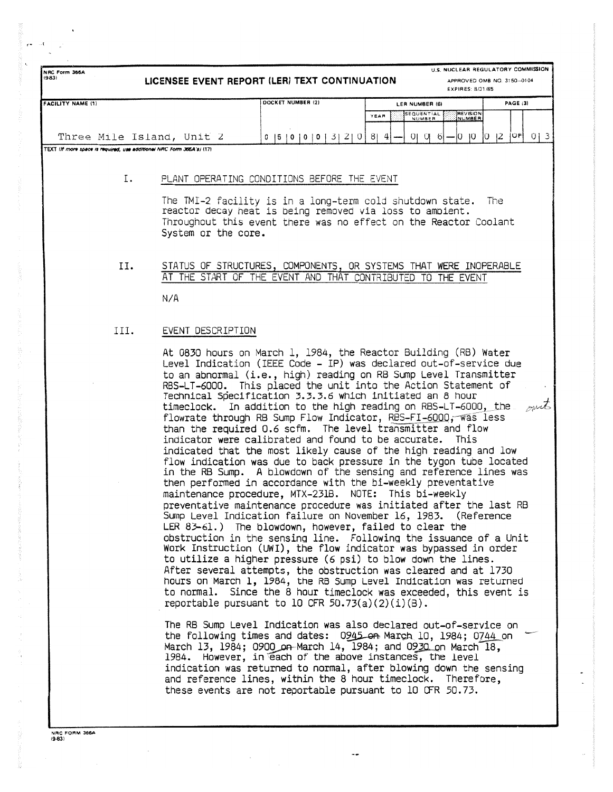|                                                                       | U.S. NUCLEAR REGULATORY COMMISSION<br>NRC Form 366A<br>$(9-83)$<br>LICENSEE EVENT REPORT (LER) TEXT CONTINUATION<br>APPROVED OMB NO. 3150-0104<br>EXPIRES: 8/31/85 |                                                                                                                                                                        |                                                                                                                                                                                                                                                                                                                                                                                                                                                                                                                                                                                                                                                                                                                                                                                                                                                                                                                                                                                                                                                                                                                                                                                                                                                                                                                                                                                                                                                                                                                        |                   |  |
|-----------------------------------------------------------------------|--------------------------------------------------------------------------------------------------------------------------------------------------------------------|------------------------------------------------------------------------------------------------------------------------------------------------------------------------|------------------------------------------------------------------------------------------------------------------------------------------------------------------------------------------------------------------------------------------------------------------------------------------------------------------------------------------------------------------------------------------------------------------------------------------------------------------------------------------------------------------------------------------------------------------------------------------------------------------------------------------------------------------------------------------------------------------------------------------------------------------------------------------------------------------------------------------------------------------------------------------------------------------------------------------------------------------------------------------------------------------------------------------------------------------------------------------------------------------------------------------------------------------------------------------------------------------------------------------------------------------------------------------------------------------------------------------------------------------------------------------------------------------------------------------------------------------------------------------------------------------------|-------------------|--|
| <b>FACILITY NAME (1)</b>                                              |                                                                                                                                                                    | DOCKET NUMBER (2)                                                                                                                                                      | LER NUMBER (6)                                                                                                                                                                                                                                                                                                                                                                                                                                                                                                                                                                                                                                                                                                                                                                                                                                                                                                                                                                                                                                                                                                                                                                                                                                                                                                                                                                                                                                                                                                         | <b>PAGE (3)</b>   |  |
|                                                                       |                                                                                                                                                                    |                                                                                                                                                                        | <b>REVISION</b><br>SEQUENTIAL<br>NUMBER<br>YEAR                                                                                                                                                                                                                                                                                                                                                                                                                                                                                                                                                                                                                                                                                                                                                                                                                                                                                                                                                                                                                                                                                                                                                                                                                                                                                                                                                                                                                                                                        |                   |  |
| Three Mile Island, Unit 2                                             |                                                                                                                                                                    | $0$  5   0   0   0   3   2   0   8   4                                                                                                                                 | $01016 - 1010$                                                                                                                                                                                                                                                                                                                                                                                                                                                                                                                                                                                                                                                                                                                                                                                                                                                                                                                                                                                                                                                                                                                                                                                                                                                                                                                                                                                                                                                                                                         | OF  0   3<br> 0 2 |  |
| TEXT Iff more space is required, use additional NRC Form 366A's) (17) |                                                                                                                                                                    |                                                                                                                                                                        |                                                                                                                                                                                                                                                                                                                                                                                                                                                                                                                                                                                                                                                                                                                                                                                                                                                                                                                                                                                                                                                                                                                                                                                                                                                                                                                                                                                                                                                                                                                        |                   |  |
|                                                                       |                                                                                                                                                                    |                                                                                                                                                                        |                                                                                                                                                                                                                                                                                                                                                                                                                                                                                                                                                                                                                                                                                                                                                                                                                                                                                                                                                                                                                                                                                                                                                                                                                                                                                                                                                                                                                                                                                                                        |                   |  |
| Ι.                                                                    |                                                                                                                                                                    | PLANT OPERATING CONDITIONS BEFORE THE EVENT                                                                                                                            |                                                                                                                                                                                                                                                                                                                                                                                                                                                                                                                                                                                                                                                                                                                                                                                                                                                                                                                                                                                                                                                                                                                                                                                                                                                                                                                                                                                                                                                                                                                        |                   |  |
|                                                                       | System or the core.                                                                                                                                                |                                                                                                                                                                        | The TMI-2 facility is in a long-term cold shutdown state. The<br>reactor decay heat is being removed via loss to ambient.<br>Throughout this event there was no effect on the Reactor Coolant                                                                                                                                                                                                                                                                                                                                                                                                                                                                                                                                                                                                                                                                                                                                                                                                                                                                                                                                                                                                                                                                                                                                                                                                                                                                                                                          |                   |  |
| II.                                                                   |                                                                                                                                                                    |                                                                                                                                                                        | STATUS OF STRUCTURES, COMPONENTS, OR SYSTEMS THAT WERE INOPERABLE<br>AT THE START OF THE EVENT AND THAT CONTRIBUTED TO THE EVENT                                                                                                                                                                                                                                                                                                                                                                                                                                                                                                                                                                                                                                                                                                                                                                                                                                                                                                                                                                                                                                                                                                                                                                                                                                                                                                                                                                                       |                   |  |
|                                                                       | N/A                                                                                                                                                                |                                                                                                                                                                        |                                                                                                                                                                                                                                                                                                                                                                                                                                                                                                                                                                                                                                                                                                                                                                                                                                                                                                                                                                                                                                                                                                                                                                                                                                                                                                                                                                                                                                                                                                                        |                   |  |
| III.                                                                  | EVENT DESCRIPTION                                                                                                                                                  |                                                                                                                                                                        |                                                                                                                                                                                                                                                                                                                                                                                                                                                                                                                                                                                                                                                                                                                                                                                                                                                                                                                                                                                                                                                                                                                                                                                                                                                                                                                                                                                                                                                                                                                        |                   |  |
|                                                                       |                                                                                                                                                                    | maintenance procedure, MTX-231B. NOTE: This bi-weekly<br>LER 83-61.) The blowdown, however, failed to clear the<br>reportable pursuant to 10 CFR $50.73(a)(2)(i)(B)$ . | At 0830 hours on March 1, 1984, the Reactor Building (RB) Water<br>Level Indication (IEEE Code - IP) was declared out-of-service due<br>to an abnormal (i.e., high) reading on RB Sump Level Transmitter<br>RBS-LT-6000. This placed the unit into the Action Statement of<br>Technical Specification 3.3.3.6 which initiated an 8 hour<br>timeclock. In addition to the high reading on RBS-LT-6000, the<br>flowrate through RB Sump Flow Indicator, RBS-FI-6000, was less<br>than the required 0.6 scfm. The level transmitter and flow<br>indicator were calibrated and found to be accurate. This<br>indicated that the most likely cause of the high reading and low<br>flow indication was due to back pressure in the tygon tube located<br>in the RB Sump. A blowdown of the sensing and reference lines was<br>then performed in accordance with the bi-weekly preventative<br>preventative maintenance procedure was initiated after the last RB<br>Sump Level Indication failure on November 16, 1983. (Reference<br>obstruction in the sensing line. Following the issuance of a Unit<br>Work Instruction (UWI), the flow indicator was bypassed in order<br>to utilize a higher pressure (6 psi) to blow down the lines.<br>After several attempts, the obstruction was cleared and at 1730<br>hours on March 1, 1984, the RB Sump Level Indication was returned<br>to normal. Since the 8 hour timeclock was exceeded, this event is<br>The RB Sump Level Indication was also declared out-of-service on | out               |  |
|                                                                       |                                                                                                                                                                    |                                                                                                                                                                        | the following times and dates: 0945 on March 10, 1984; 0744 on<br>March 13, 1984; 0900 on March 14, 1984; and 0930 on March 18,<br>1984. However, in each of the above instances, the level<br>indication was returned to normal, after blowing down the sensing<br>and reference lines, within the 8 hour timeclock. Therefore,                                                                                                                                                                                                                                                                                                                                                                                                                                                                                                                                                                                                                                                                                                                                                                                                                                                                                                                                                                                                                                                                                                                                                                                       |                   |  |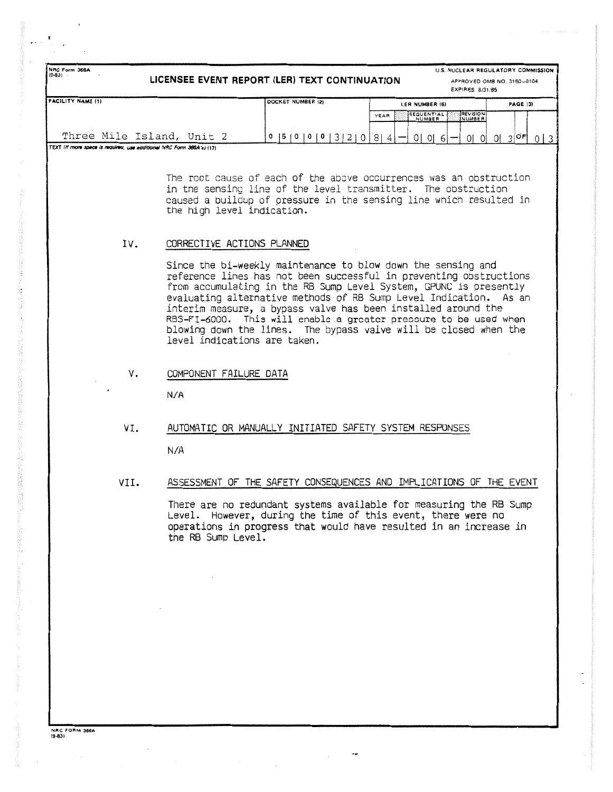| NRC Form 366A<br>U.S. NUCLEAR REGULATORY COMMISSION<br>$(9-83)$<br>LICENSEE EVENT REPORT (LER) TEXT CONTINUATION<br>APPROVED OMB NO. 3150-0104<br>EXPIRES: 8/31/85 |                                                          |                                                                                                                                                                                                                                                                                                                                                                                                                                                                                                                       |                                                                                                                                                                                                           |                 |  |  |  |
|--------------------------------------------------------------------------------------------------------------------------------------------------------------------|----------------------------------------------------------|-----------------------------------------------------------------------------------------------------------------------------------------------------------------------------------------------------------------------------------------------------------------------------------------------------------------------------------------------------------------------------------------------------------------------------------------------------------------------------------------------------------------------|-----------------------------------------------------------------------------------------------------------------------------------------------------------------------------------------------------------|-----------------|--|--|--|
| <b>FACILITY NAME (1)</b>                                                                                                                                           |                                                          | DOCKET NUMBER (2)                                                                                                                                                                                                                                                                                                                                                                                                                                                                                                     | LER NUMBER (6)                                                                                                                                                                                            | PAGE (3)        |  |  |  |
|                                                                                                                                                                    |                                                          |                                                                                                                                                                                                                                                                                                                                                                                                                                                                                                                       | <b>SEQUENTIAL</b><br><b>REVISION</b><br>YEAR<br>NUMBER<br>NUMBER                                                                                                                                          |                 |  |  |  |
|                                                                                                                                                                    | Three Mile Island, Unit 2                                | 0  5  0  0  0  3  2  0                                                                                                                                                                                                                                                                                                                                                                                                                                                                                                | $8 \mid 4$<br>0 0 6 <br>0101                                                                                                                                                                              | $0 3 ^{OF}$ 0 3 |  |  |  |
| TEXT (If more space is required, use additional NRC Form 366A's) (17)                                                                                              |                                                          |                                                                                                                                                                                                                                                                                                                                                                                                                                                                                                                       |                                                                                                                                                                                                           |                 |  |  |  |
| IV.                                                                                                                                                                | the high level indication.<br>CORRECTIVE ACTIONS PLANNED |                                                                                                                                                                                                                                                                                                                                                                                                                                                                                                                       | The root cause of each of the above occurrences was an obstruction<br>in the sensing line of the level transmitter. The obstruction<br>caused a buildup of pressure in the sensing line which resulted in |                 |  |  |  |
|                                                                                                                                                                    |                                                          | Since the bi-weekly maintenance to blow down the sensing and<br>reference lines has not been successful in preventing obstructions<br>from accumulating in the RB Sump Level System, GPUNC is presently<br>evaluating alternative methods of RB Sump Level Indication. As an<br>interim measure, a bypass valve has been installed around the<br>RBS-FI-6000. This will enable a greater pressure to be used when<br>blowing down the lines. The bypass valve will be closed when the<br>level indications are taken. |                                                                                                                                                                                                           |                 |  |  |  |
| V.                                                                                                                                                                 | COMPONENT FAILURE DATA<br>N/A                            |                                                                                                                                                                                                                                                                                                                                                                                                                                                                                                                       |                                                                                                                                                                                                           |                 |  |  |  |
| VI.                                                                                                                                                                |                                                          | AUTOMATIC OR MANUALLY INITIATED SAFETY SYSTEM RESPONSES                                                                                                                                                                                                                                                                                                                                                                                                                                                               |                                                                                                                                                                                                           |                 |  |  |  |

N/A

VII. ASSESSMENT OF THE SAFETY CONSEQUENCES AND IMPLICATIONS OF THE EVENT

There are no redundant systems available for measuring the RB Sump Level. However, during the time of this event, there were no operations in progress that would have resulted in an increase in the RB Sump Level .

**NRC FORM 386A**